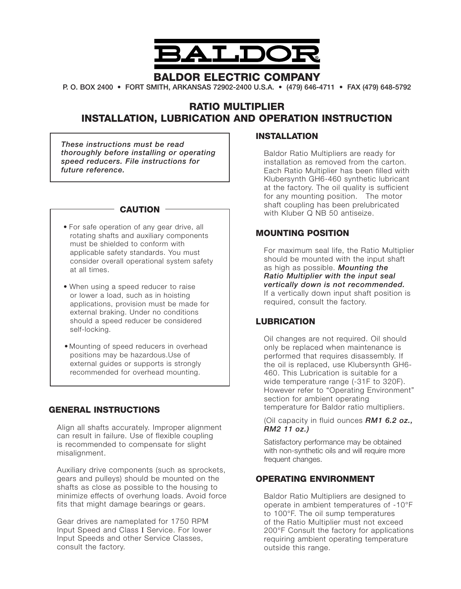

p. o. box 2400 • fort smith, arkansas 72902-2400 u.s.a. • (479) 646-4711 • fax (479) 648-5792

# Ratio Multiplier INSTALLATION, LUBRICATION AND OPERATION INSTRUCTION

*These instructions must be read thoroughly before installing or operating speed reducers. File instructions for future reference.*

#### CAUTION

- For safe operation of any gear drive, all rotating shafts and auxiliary components must be shielded to conform with applicable safety standards. You must consider overall operational system safety at all times.
- When using a speed reducer to raise or lower a load, such as in hoisting applications, provision must be made for external braking. Under no conditions should a speed reducer be considered self-locking.
- • Mounting of speed reducers in overhead positions may be hazardous.Use of external guides or supports is strongly recommended for overhead mounting.

# GENERAL INSTRUCTIONS

Align all shafts accurately. Improper alignment can result in failure. Use of flexible coupling is recommended to compensate for slight misalignment.

Auxiliary drive components (such as sprockets, gears and pulleys) should be mounted on the shafts as close as possible to the housing to minimize effects of overhung loads. Avoid force fits that might damage bearings or gears.

Gear drives are nameplated for 1750 RPM Input Speed and Class I Service. For lower Input Speeds and other Service Classes, consult the factory.

#### INSTALLATION

Baldor Ratio Multipliers are ready for installation as removed from the carton. Each Ratio Multiplier has been filled with Klubersynth GH6-460 synthetic lubricant at the factory. The oil quality is sufficient for any mounting position. The motor shaft coupling has been prelubricated with Kluber Q NB 50 antiseize.

## Mounting Position

For maximum seal life, the Ratio Multiplier should be mounted with the input shaft as high as possible. *Mounting the Ratio Multiplier with the input seal vertically down is not recommended.*  If a vertically down input shaft position is required, consult the factory.

# **LUBRICATION**

Oil changes are not required. Oil should only be replaced when maintenance is performed that requires disassembly. If the oil is replaced, use Klubersynth GH6- 460. This Lubrication is suitable for a wide temperature range (-31F to 320F). However refer to "Operating Environment" section for ambient operating temperature for Baldor ratio multipliers.

(Oil capacity in fluid ounces *RM1 6.2 oz., RM2 11 oz.)*

Satisfactory performance may be obtained with non-synthetic oils and will require more frequent changes.

## Operating Environment

Baldor Ratio Multipliers are designed to operate in ambient temperatures of -10°F to 100°F. The oil sump temperatures of the Ratio Multiplier must not exceed 200°F Consult the factory for applications requiring ambient operating temperature outside this range.